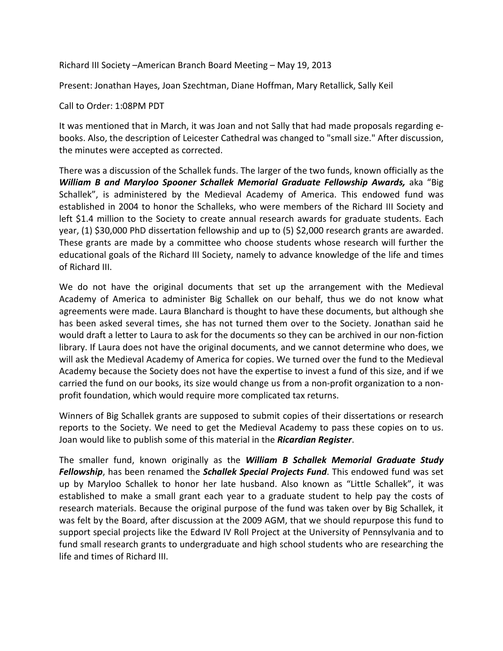Richard III Society –American Branch Board Meeting – May 19, 2013

Present: Jonathan Hayes, Joan Szechtman, Diane Hoffman, Mary Retallick, Sally Keil

Call to Order: 1:08PM PDT

It was mentioned that in March, it was Joan and not Sally that had made proposals regarding ebooks. Also, the description of Leicester Cathedral was changed to "small size." After discussion, the minutes were accepted as corrected.

There was a discussion of the Schallek funds. The larger of the two funds, known officially as the *William B and Maryloo Spooner Schallek Memorial Graduate Fellowship Awards,* aka "Big Schallek", is administered by the Medieval Academy of America. This endowed fund was established in 2004 to honor the Schalleks, who were members of the Richard III Society and left \$1.4 million to the Society to create annual research awards for graduate students. Each year, (1) \$30,000 PhD dissertation fellowship and up to (5) \$2,000 research grants are awarded. These grants are made by a committee who choose students whose research will further the educational goals of the Richard III Society, namely to advance knowledge of the life and times of Richard III.

We do not have the original documents that set up the arrangement with the Medieval Academy of America to administer Big Schallek on our behalf, thus we do not know what agreements were made. Laura Blanchard is thought to have these documents, but although she has been asked several times, she has not turned them over to the Society. Jonathan said he would draft a letter to Laura to ask for the documents so they can be archived in our non-fiction library. If Laura does not have the original documents, and we cannot determine who does, we will ask the Medieval Academy of America for copies. We turned over the fund to the Medieval Academy because the Society does not have the expertise to invest a fund of this size, and if we carried the fund on our books, its size would change us from a non-profit organization to a nonprofit foundation, which would require more complicated tax returns.

Winners of Big Schallek grants are supposed to submit copies of their dissertations or research reports to the Society. We need to get the Medieval Academy to pass these copies on to us. Joan would like to publish some of this material in the *Ricardian Register*.

The smaller fund, known originally as the *William B Schallek Memorial Graduate Study Fellowship*, has been renamed the *Schallek Special Projects Fund*. This endowed fund was set up by Maryloo Schallek to honor her late husband. Also known as "Little Schallek", it was established to make a small grant each year to a graduate student to help pay the costs of research materials. Because the original purpose of the fund was taken over by Big Schallek, it was felt by the Board, after discussion at the 2009 AGM, that we should repurpose this fund to support special projects like the Edward IV Roll Project at the University of Pennsylvania and to fund small research grants to undergraduate and high school students who are researching the life and times of Richard III.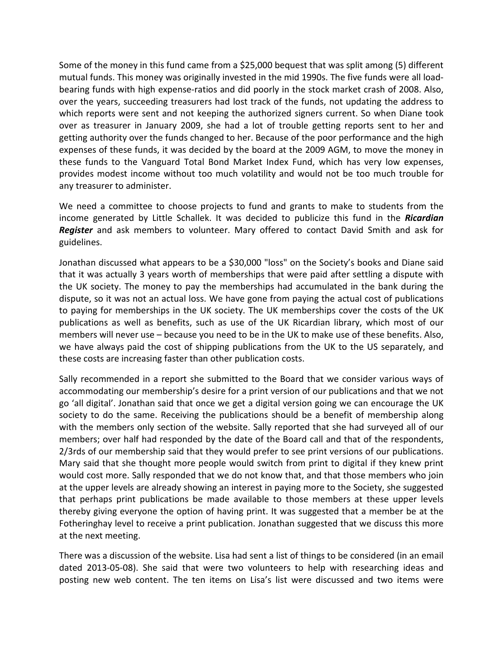Some of the money in this fund came from a \$25,000 bequest that was split among (5) different mutual funds. This money was originally invested in the mid 1990s. The five funds were all loadbearing funds with high expense-ratios and did poorly in the stock market crash of 2008. Also, over the years, succeeding treasurers had lost track of the funds, not updating the address to which reports were sent and not keeping the authorized signers current. So when Diane took over as treasurer in January 2009, she had a lot of trouble getting reports sent to her and getting authority over the funds changed to her. Because of the poor performance and the high expenses of these funds, it was decided by the board at the 2009 AGM, to move the money in these funds to the Vanguard Total Bond Market Index Fund, which has very low expenses, provides modest income without too much volatility and would not be too much trouble for any treasurer to administer.

We need a committee to choose projects to fund and grants to make to students from the income generated by Little Schallek. It was decided to publicize this fund in the *Ricardian Register* and ask members to volunteer. Mary offered to contact David Smith and ask for guidelines.

Jonathan discussed what appears to be a \$30,000 "loss" on the Society's books and Diane said that it was actually 3 years worth of memberships that were paid after settling a dispute with the UK society. The money to pay the memberships had accumulated in the bank during the dispute, so it was not an actual loss. We have gone from paying the actual cost of publications to paying for memberships in the UK society. The UK memberships cover the costs of the UK publications as well as benefits, such as use of the UK Ricardian library, which most of our members will never use – because you need to be in the UK to make use of these benefits. Also, we have always paid the cost of shipping publications from the UK to the US separately, and these costs are increasing faster than other publication costs.

Sally recommended in a report she submitted to the Board that we consider various ways of accommodating our membership's desire for a print version of our publications and that we not go 'all digital'. Jonathan said that once we get a digital version going we can encourage the UK society to do the same. Receiving the publications should be a benefit of membership along with the members only section of the website. Sally reported that she had surveyed all of our members; over half had responded by the date of the Board call and that of the respondents, 2/3rds of our membership said that they would prefer to see print versions of our publications. Mary said that she thought more people would switch from print to digital if they knew print would cost more. Sally responded that we do not know that, and that those members who join at the upper levels are already showing an interest in paying more to the Society, she suggested that perhaps print publications be made available to those members at these upper levels thereby giving everyone the option of having print. It was suggested that a member be at the Fotheringhay level to receive a print publication. Jonathan suggested that we discuss this more at the next meeting.

There was a discussion of the website. Lisa had sent a list of things to be considered (in an email dated 2013-05-08). She said that were two volunteers to help with researching ideas and posting new web content. The ten items on Lisa's list were discussed and two items were